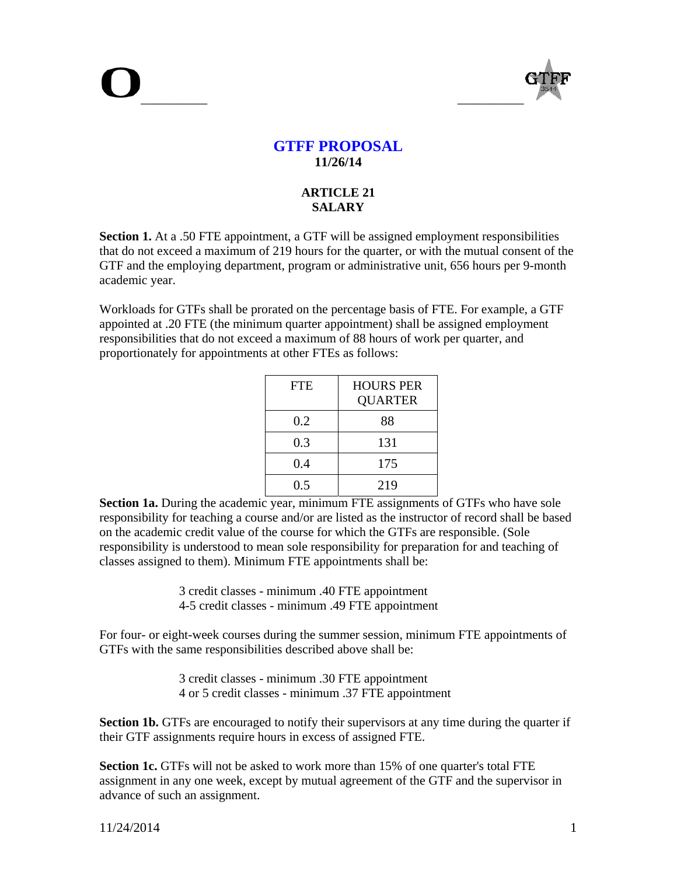

# **GTFF PROPOSAL 11/26/14**

## **ARTICLE 21 SALARY**

**Section 1.** At a .50 FTE appointment, a GTF will be assigned employment responsibilities that do not exceed a maximum of 219 hours for the quarter, or with the mutual consent of the GTF and the employing department, program or administrative unit, 656 hours per 9-month academic year.

Workloads for GTFs shall be prorated on the percentage basis of FTE. For example, a GTF appointed at .20 FTE (the minimum quarter appointment) shall be assigned employment responsibilities that do not exceed a maximum of 88 hours of work per quarter, and proportionately for appointments at other FTEs as follows:

| <b>FTE</b> | <b>HOURS PER</b><br><b>QUARTER</b> |
|------------|------------------------------------|
| 0.2        | 88                                 |
| 0.3        | 131                                |
| 0.4        | 175                                |
| 0.5        | 219                                |

**Section 1a.** During the academic year, minimum FTE assignments of GTFs who have sole responsibility for teaching a course and/or are listed as the instructor of record shall be based on the academic credit value of the course for which the GTFs are responsible. (Sole responsibility is understood to mean sole responsibility for preparation for and teaching of classes assigned to them). Minimum FTE appointments shall be:

> 3 credit classes - minimum .40 FTE appointment 4-5 credit classes - minimum .49 FTE appointment

For four- or eight-week courses during the summer session, minimum FTE appointments of GTFs with the same responsibilities described above shall be:

> 3 credit classes - minimum .30 FTE appointment 4 or 5 credit classes - minimum .37 FTE appointment

**Section 1b.** GTFs are encouraged to notify their supervisors at any time during the quarter if their GTF assignments require hours in excess of assigned FTE.

**Section 1c.** GTFs will not be asked to work more than 15% of one quarter's total FTE assignment in any one week, except by mutual agreement of the GTF and the supervisor in advance of such an assignment.

11/24/2014 1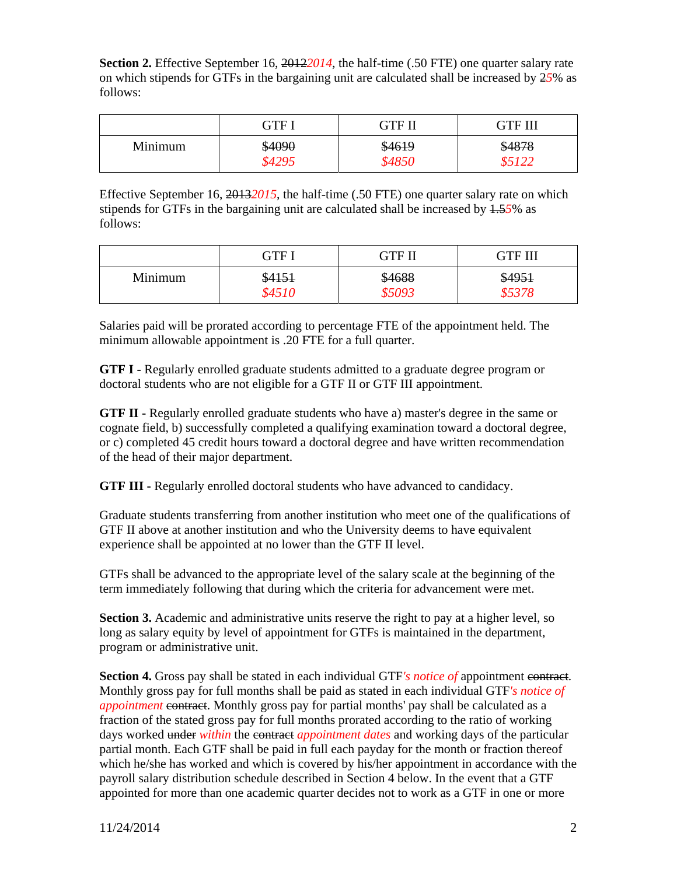**Section 2.** Effective September 16, 2012*2014*, the half-time (.50 FTE) one quarter salary rate on which stipends for GTFs in the bargaining unit are calculated shall be increased by 2*5*% as follows:

|         | CTF.               | <b>GTF II</b>    | GTF III |
|---------|--------------------|------------------|---------|
| Minimum | \$4090<br>$$429$ . | \$4619<br>\$4850 | \$4878  |

Effective September 16, 2013*2015*, the half-time (.50 FTE) one quarter salary rate on which stipends for GTFs in the bargaining unit are calculated shall be increased by 1.5*5*% as follows:

|         | GTE    | <b>GTF II</b> | GTF III |
|---------|--------|---------------|---------|
| Minimum | \$4151 | \$4688        | \$4951  |
|         | \$4510 | 85093         | \$5378  |

Salaries paid will be prorated according to percentage FTE of the appointment held. The minimum allowable appointment is .20 FTE for a full quarter.

**GTF I -** Regularly enrolled graduate students admitted to a graduate degree program or doctoral students who are not eligible for a GTF II or GTF III appointment.

**GTF II -** Regularly enrolled graduate students who have a) master's degree in the same or cognate field, b) successfully completed a qualifying examination toward a doctoral degree, or c) completed 45 credit hours toward a doctoral degree and have written recommendation of the head of their major department.

**GTF III -** Regularly enrolled doctoral students who have advanced to candidacy.

Graduate students transferring from another institution who meet one of the qualifications of GTF II above at another institution and who the University deems to have equivalent experience shall be appointed at no lower than the GTF II level.

GTFs shall be advanced to the appropriate level of the salary scale at the beginning of the term immediately following that during which the criteria for advancement were met.

**Section 3.** Academic and administrative units reserve the right to pay at a higher level, so long as salary equity by level of appointment for GTFs is maintained in the department, program or administrative unit.

**Section 4.** Gross pay shall be stated in each individual GTF*'s notice of* appointment contract. Monthly gross pay for full months shall be paid as stated in each individual GTF*'s notice of appointment* contract. Monthly gross pay for partial months' pay shall be calculated as a fraction of the stated gross pay for full months prorated according to the ratio of working days worked under *within* the contract *appointment dates* and working days of the particular partial month. Each GTF shall be paid in full each payday for the month or fraction thereof which he/she has worked and which is covered by his/her appointment in accordance with the payroll salary distribution schedule described in Section 4 below. In the event that a GTF appointed for more than one academic quarter decides not to work as a GTF in one or more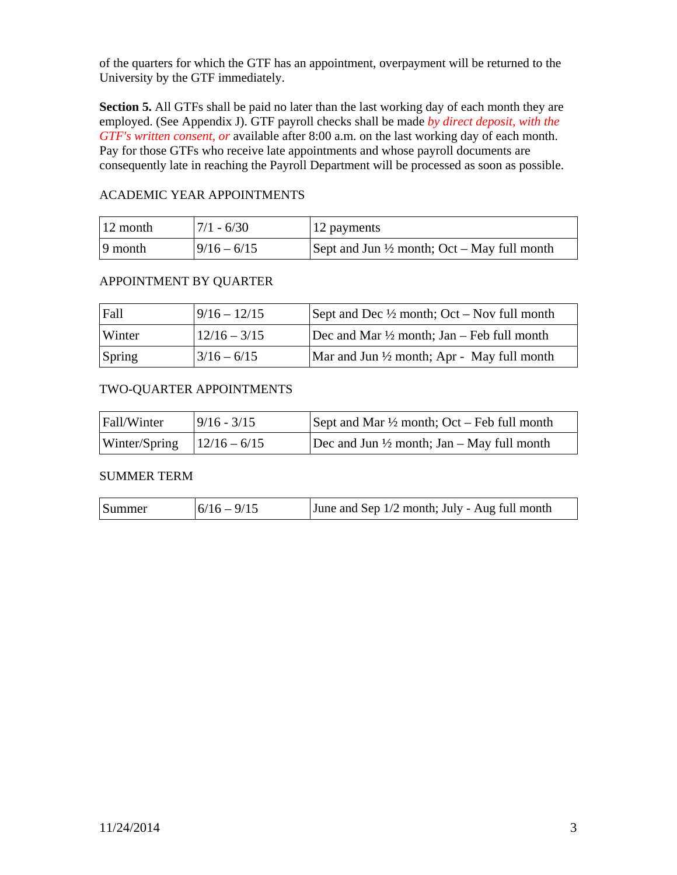of the quarters for which the GTF has an appointment, overpayment will be returned to the University by the GTF immediately.

**Section 5.** All GTFs shall be paid no later than the last working day of each month they are employed. (See Appendix J). GTF payroll checks shall be made *by direct deposit, with the GTF's written consent, or* available after 8:00 a.m. on the last working day of each month. Pay for those GTFs who receive late appointments and whose payroll documents are consequently late in reaching the Payroll Department will be processed as soon as possible.

# ACADEMIC YEAR APPOINTMENTS

| $\vert$ 12 month | $7/1 - 6/30$  | 12 payments                                            |
|------------------|---------------|--------------------------------------------------------|
| 9 month          | $9/16 - 6/15$ | Sept and Jun $\frac{1}{2}$ month; Oct – May full month |

# APPOINTMENT BY QUARTER

| Fall   | $9/16 - 12/15$ | Sept and Dec $\frac{1}{2}$ month; Oct – Nov full month |
|--------|----------------|--------------------------------------------------------|
| Winter | $12/16 - 3/15$ | Dec and Mar $\frac{1}{2}$ month; Jan – Feb full month  |
| Spring | $3/16 - 6/15$  | Mar and Jun $\frac{1}{2}$ month; Apr - May full month  |

## TWO-QUARTER APPOINTMENTS

| Fall/Winter                    | $9/16 - 3/15$ | Sept and Mar $\frac{1}{2}$ month; Oct – Feb full month |
|--------------------------------|---------------|--------------------------------------------------------|
| Winter/Spring $ 12/16 - 6/15 $ |               | Dec and Jun $\frac{1}{2}$ month; Jan – May full month  |

## SUMMER TERM

| Summer | $ 6/16 - 9/15 $ | June and Sep 1/2 month; July - Aug full month |
|--------|-----------------|-----------------------------------------------|
|        |                 |                                               |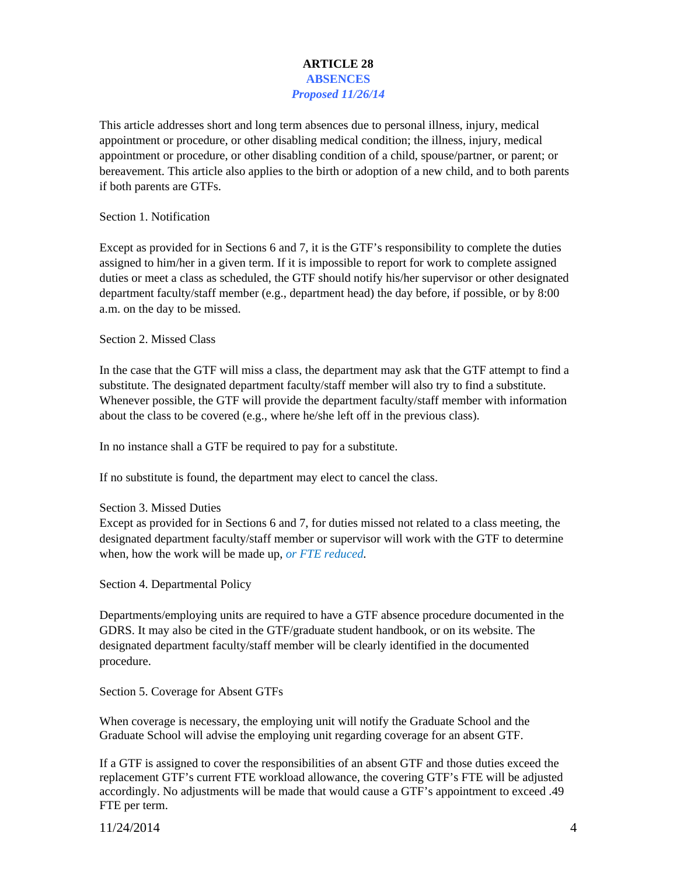## **ARTICLE 28 ABSENCES**  *Proposed 11/26/14*

This article addresses short and long term absences due to personal illness, injury, medical appointment or procedure, or other disabling medical condition; the illness, injury, medical appointment or procedure, or other disabling condition of a child, spouse/partner, or parent; or bereavement. This article also applies to the birth or adoption of a new child, and to both parents if both parents are GTFs.

Section 1. Notification

Except as provided for in Sections 6 and 7, it is the GTF's responsibility to complete the duties assigned to him/her in a given term. If it is impossible to report for work to complete assigned duties or meet a class as scheduled, the GTF should notify his/her supervisor or other designated department faculty/staff member (e.g., department head) the day before, if possible, or by 8:00 a.m. on the day to be missed.

Section 2. Missed Class

In the case that the GTF will miss a class, the department may ask that the GTF attempt to find a substitute. The designated department faculty/staff member will also try to find a substitute. Whenever possible, the GTF will provide the department faculty/staff member with information about the class to be covered (e.g., where he/she left off in the previous class).

In no instance shall a GTF be required to pay for a substitute.

If no substitute is found, the department may elect to cancel the class.

### Section 3. Missed Duties

Except as provided for in Sections 6 and 7, for duties missed not related to a class meeting, the designated department faculty/staff member or supervisor will work with the GTF to determine when, how the work will be made up, *or FTE reduced.*

Section 4. Departmental Policy

Departments/employing units are required to have a GTF absence procedure documented in the GDRS. It may also be cited in the GTF/graduate student handbook, or on its website. The designated department faculty/staff member will be clearly identified in the documented procedure.

Section 5. Coverage for Absent GTFs

When coverage is necessary, the employing unit will notify the Graduate School and the Graduate School will advise the employing unit regarding coverage for an absent GTF.

If a GTF is assigned to cover the responsibilities of an absent GTF and those duties exceed the replacement GTF's current FTE workload allowance, the covering GTF's FTE will be adjusted accordingly. No adjustments will be made that would cause a GTF's appointment to exceed .49 FTE per term.

11/24/2014 4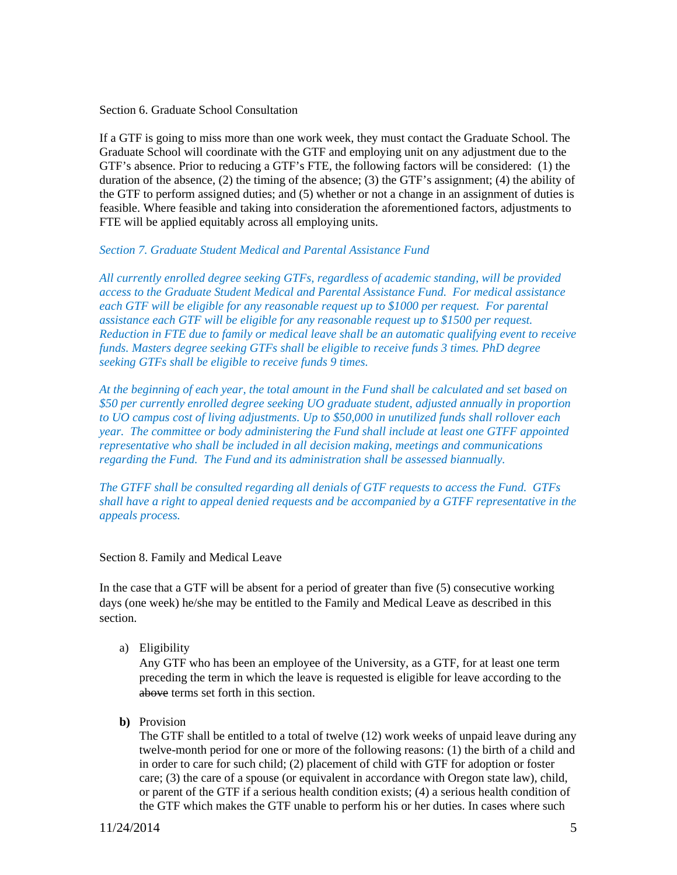Section 6. Graduate School Consultation

If a GTF is going to miss more than one work week, they must contact the Graduate School. The Graduate School will coordinate with the GTF and employing unit on any adjustment due to the GTF's absence. Prior to reducing a GTF's FTE, the following factors will be considered: (1) the duration of the absence, (2) the timing of the absence; (3) the GTF's assignment; (4) the ability of the GTF to perform assigned duties; and (5) whether or not a change in an assignment of duties is feasible. Where feasible and taking into consideration the aforementioned factors, adjustments to FTE will be applied equitably across all employing units.

### *Section 7. Graduate Student Medical and Parental Assistance Fund*

*All currently enrolled degree seeking GTFs, regardless of academic standing, will be provided access to the Graduate Student Medical and Parental Assistance Fund. For medical assistance each GTF will be eligible for any reasonable request up to \$1000 per request. For parental assistance each GTF will be eligible for any reasonable request up to \$1500 per request. Reduction in FTE due to family or medical leave shall be an automatic qualifying event to receive funds. Masters degree seeking GTFs shall be eligible to receive funds 3 times. PhD degree seeking GTFs shall be eligible to receive funds 9 times.* 

*At the beginning of each year, the total amount in the Fund shall be calculated and set based on \$50 per currently enrolled degree seeking UO graduate student, adjusted annually in proportion to UO campus cost of living adjustments. Up to \$50,000 in unutilized funds shall rollover each year. The committee or body administering the Fund shall include at least one GTFF appointed representative who shall be included in all decision making, meetings and communications regarding the Fund. The Fund and its administration shall be assessed biannually.* 

*The GTFF shall be consulted regarding all denials of GTF requests to access the Fund. GTFs shall have a right to appeal denied requests and be accompanied by a GTFF representative in the appeals process.* 

#### Section 8. Family and Medical Leave

In the case that a GTF will be absent for a period of greater than five (5) consecutive working days (one week) he/she may be entitled to the Family and Medical Leave as described in this section.

a) Eligibility

Any GTF who has been an employee of the University, as a GTF, for at least one term preceding the term in which the leave is requested is eligible for leave according to the above terms set forth in this section.

**b)** Provision

The GTF shall be entitled to a total of twelve (12) work weeks of unpaid leave during any twelve-month period for one or more of the following reasons: (1) the birth of a child and in order to care for such child; (2) placement of child with GTF for adoption or foster care; (3) the care of a spouse (or equivalent in accordance with Oregon state law), child, or parent of the GTF if a serious health condition exists; (4) a serious health condition of the GTF which makes the GTF unable to perform his or her duties. In cases where such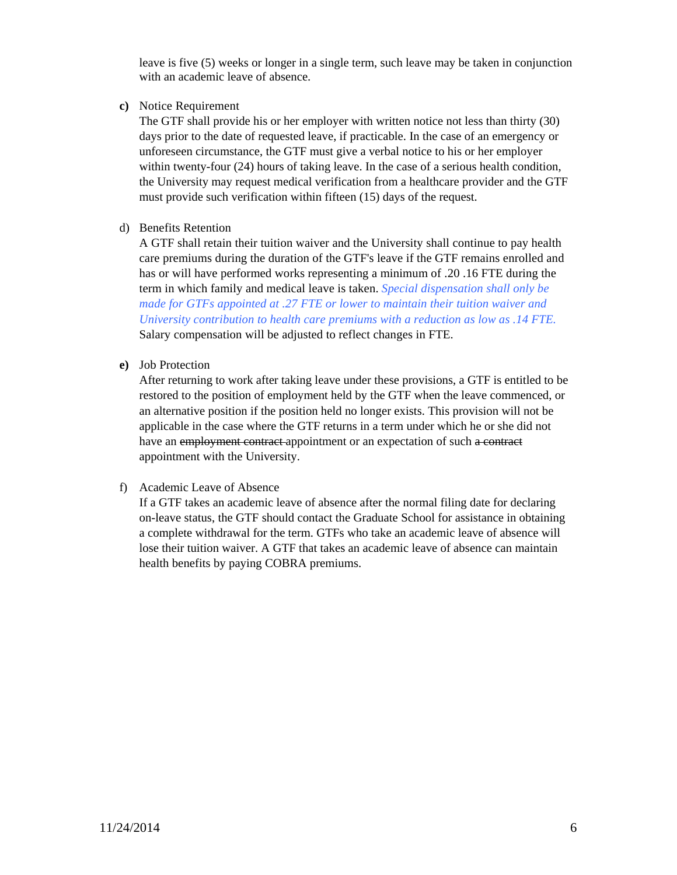leave is five (5) weeks or longer in a single term, such leave may be taken in conjunction with an academic leave of absence.

**c)** Notice Requirement

The GTF shall provide his or her employer with written notice not less than thirty (30) days prior to the date of requested leave, if practicable. In the case of an emergency or unforeseen circumstance, the GTF must give a verbal notice to his or her employer within twenty-four (24) hours of taking leave. In the case of a serious health condition, the University may request medical verification from a healthcare provider and the GTF must provide such verification within fifteen (15) days of the request.

## d) Benefits Retention

A GTF shall retain their tuition waiver and the University shall continue to pay health care premiums during the duration of the GTF's leave if the GTF remains enrolled and has or will have performed works representing a minimum of .20 .16 FTE during the term in which family and medical leave is taken. *Special dispensation shall only be made for GTFs appointed at .27 FTE or lower to maintain their tuition waiver and University contribution to health care premiums with a reduction as low as .14 FTE.* Salary compensation will be adjusted to reflect changes in FTE.

## **e)** Job Protection

After returning to work after taking leave under these provisions, a GTF is entitled to be restored to the position of employment held by the GTF when the leave commenced, or an alternative position if the position held no longer exists. This provision will not be applicable in the case where the GTF returns in a term under which he or she did not have an employment contract-appointment or an expectation of such a contract appointment with the University.

### f) Academic Leave of Absence

If a GTF takes an academic leave of absence after the normal filing date for declaring on-leave status, the GTF should contact the Graduate School for assistance in obtaining a complete withdrawal for the term. GTFs who take an academic leave of absence will lose their tuition waiver. A GTF that takes an academic leave of absence can maintain health benefits by paying COBRA premiums.